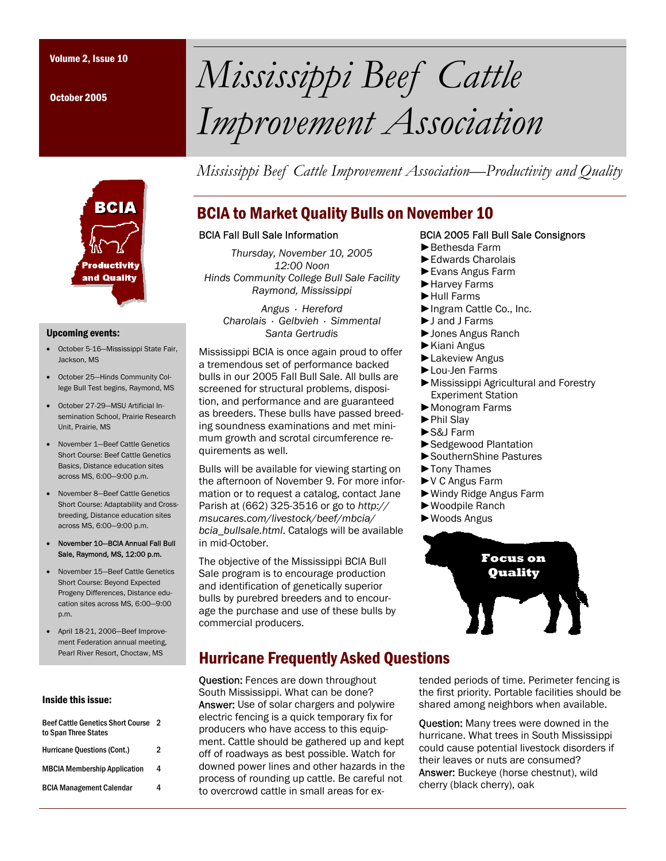October 2005

# Volume 2, Issue 10 *Mississippi Beef Cattle Improvement Association*

*Mississippi Beef Cattle Improvement Association—Productivity and Quality* 



#### Upcoming events:

- October 5-16—Mississippi State Fair, Jackson, MS
- October 25—Hinds Community College Bull Test begins, Raymond, MS
- October 27-29—MSU Artificial Insemination School, Prairie Research Unit, Prairie, MS
- November 1—Beef Cattle Genetics Short Course: Beef Cattle Genetics Basics, Distance education sites across MS, 6:00—9:00 p.m.
- November 8—Beef Cattle Genetics Short Course: Adaptability and Crossbreeding, Distance education sites across MS, 6:00—9:00 p.m.
- November 10—BCIA Annual Fall Bull Sale, Raymond, MS, 12:00 p.m.
- November 15—Beef Cattle Genetics Short Course: Beyond Expected Progeny Differences, Distance education sites across MS, 6:00—9:00 p.m.
- April 18-21, 2006—Beef Improvement Federation annual meeting, Pearl River Resort, Choctaw, MS

#### Inside this issue:

| <b>Beef Cattle Genetics Short Course</b><br>to Span Three States | -2 |
|------------------------------------------------------------------|----|
| <b>Hurricane Questions (Cont.)</b>                               | 2  |
| <b>MBCIA Membership Application</b>                              | 4  |
| <b>BCIA Management Calendar</b>                                  |    |
|                                                                  |    |

# BCIA to Market Quality Bulls on November 10

#### BCIA Fall Bull Sale Information

*Thursday, November 10, 2005 12:00 Noon Hinds Community College Bull Sale Facility Raymond, Mississippi* 

> *Angus · Hereford Charolais · Gelbvieh · Simmental Santa Gertrudis*

Mississippi BCIA is once again proud to offer a tremendous set of performance backed bulls in our 2005 Fall Bull Sale. All bulls are screened for structural problems, disposition, and performance and are guaranteed as breeders. These bulls have passed breeding soundness examinations and met minimum growth and scrotal circumference requirements as well.

Bulls will be available for viewing starting on the afternoon of November 9. For more information or to request a catalog, contact Jane Parish at (662) 325-3516 or go to *http:// msucares.com/livestock/beef/mbcia/ bcia\_bullsale.html*. Catalogs will be available in mid-October.

The objective of the Mississippi BCIA Bull Sale program is to encourage production and identification of genetically superior bulls by purebred breeders and to encourage the purchase and use of these bulls by commercial producers.

# Hurricane Frequently Asked Questions

Question: Fences are down throughout South Mississippi. What can be done? Answer: Use of solar chargers and polywire electric fencing is a quick temporary fix for producers who have access to this equipment. Cattle should be gathered up and kept off of roadways as best possible. Watch for downed power lines and other hazards in the process of rounding up cattle. Be careful not to overcrowd cattle in small areas for ex-

#### BCIA 2005 Fall Bull Sale Consignors

- ►Bethesda Farm
- ►Edwards Charolais
- ►Evans Angus Farm
- ►Harvey Farms
- ►Hull Farms
- ►Ingram Cattle Co., Inc.
- ►J and J Farms
- ►Jones Angus Ranch
- ►Kiani Angus
- ►Lakeview Angus
- ►Lou-Jen Farms
- ►Mississippi Agricultural and Forestry Experiment Station
- ►Monogram Farms
- ►Phil Slay
- ►S&J Farm
- ►Sedgewood Plantation
- ►SouthernShine Pastures
- ►Tony Thames
- ►V C Angus Farm
- ►Windy Ridge Angus Farm
- ►Woodpile Ranch
- ►Woods Angus



tended periods of time. Perimeter fencing is the first priority. Portable facilities should be shared among neighbors when available.

**Ouestion:** Many trees were downed in the hurricane. What trees in South Mississippi could cause potential livestock disorders if their leaves or nuts are consumed? Answer: Buckeye (horse chestnut), wild cherry (black cherry), oak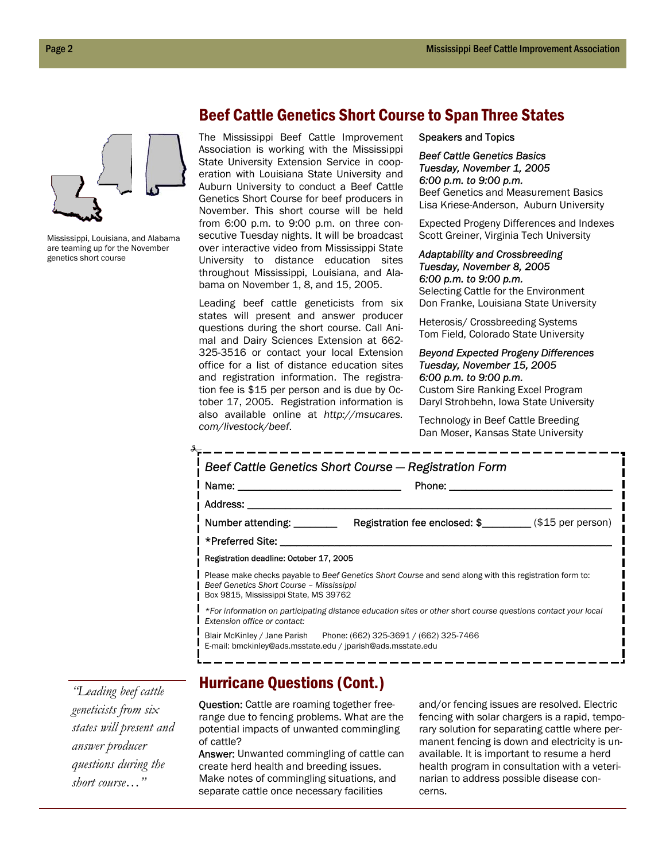

Mississippi, Louisiana, and Alabama are teaming up for the November genetics short course

## Beef Cattle Genetics Short Course to Span Three States

The Mississippi Beef Cattle Improvement Association is working with the Mississippi State University Extension Service in cooperation with Louisiana State University and Auburn University to conduct a Beef Cattle Genetics Short Course for beef producers in November. This short course will be held from 6:00 p.m. to 9:00 p.m. on three consecutive Tuesday nights. It will be broadcast over interactive video from Mississippi State University to distance education sites throughout Mississippi, Louisiana, and Alabama on November 1, 8, and 15, 2005.

Leading beef cattle geneticists from six states will present and answer producer questions during the short course. Call Animal and Dairy Sciences Extension at 662- 325-3516 or contact your local Extension office for a list of distance education sites and registration information. The registration fee is \$15 per person and is due by October 17, 2005. Registration information is also available online at *http://msucares. com/livestock/beef*.

Speakers and Topics

#### *Beef Cattle Genetics Basics Tuesday, November 1, 2005 6:00 p.m. to 9:00 p.m.*

Beef Genetics and Measurement Basics Lisa Kriese-Anderson, Auburn University

Expected Progeny Differences and Indexes Scott Greiner, Virginia Tech University

#### *Adaptability and Crossbreeding Tuesday, November 8, 2005 6:00 p.m. to 9:00 p.m.*

Selecting Cattle for the Environment Don Franke, Louisiana State University

Heterosis/ Crossbreeding Systems Tom Field, Colorado State University

#### *Beyond Expected Progeny Differences Tuesday, November 15, 2005 6:00 p.m. to 9:00 p.m.*

Custom Sire Ranking Excel Program Daryl Strohbehn, Iowa State University

Technology in Beef Cattle Breeding Dan Moser, Kansas State University

|                                                                                   | Beef Cattle Genetics Short Course - Registration Form                                                         |
|-----------------------------------------------------------------------------------|---------------------------------------------------------------------------------------------------------------|
|                                                                                   | Phone: __________                                                                                             |
| Address: _______                                                                  |                                                                                                               |
| Number attending: ________                                                        | <b>Registration fee enclosed: \$</b> _________ (\$15 per person)                                              |
| *Preferred Site:                                                                  |                                                                                                               |
| Registration deadline: October 17, 2005                                           |                                                                                                               |
| Beef Genetics Short Course - Mississippi<br>Box 9815, Mississippi State, MS 39762 | Please make checks payable to Beef Genetics Short Course and send along with this registration form to:       |
| Extension office or contact:                                                      | *For information on participating distance education sites or other short course questions contact your local |
| E-mail: bmckinley@ads.msstate.edu / jparish@ads.msstate.edu                       | Blair McKinley / Jane Parish Phone: (662) 325-3691 / (662) 325-7466                                           |

*"Leading beef cattle geneticists from six states will present and answer producer questions during the short course…"* 

# Hurricane Questions (Cont.)

Question: Cattle are roaming together freerange due to fencing problems. What are the potential impacts of unwanted commingling of cattle?

Answer: Unwanted commingling of cattle can create herd health and breeding issues. Make notes of commingling situations, and separate cattle once necessary facilities

and/or fencing issues are resolved. Electric fencing with solar chargers is a rapid, temporary solution for separating cattle where permanent fencing is down and electricity is unavailable. It is important to resume a herd health program in consultation with a veterinarian to address possible disease concerns.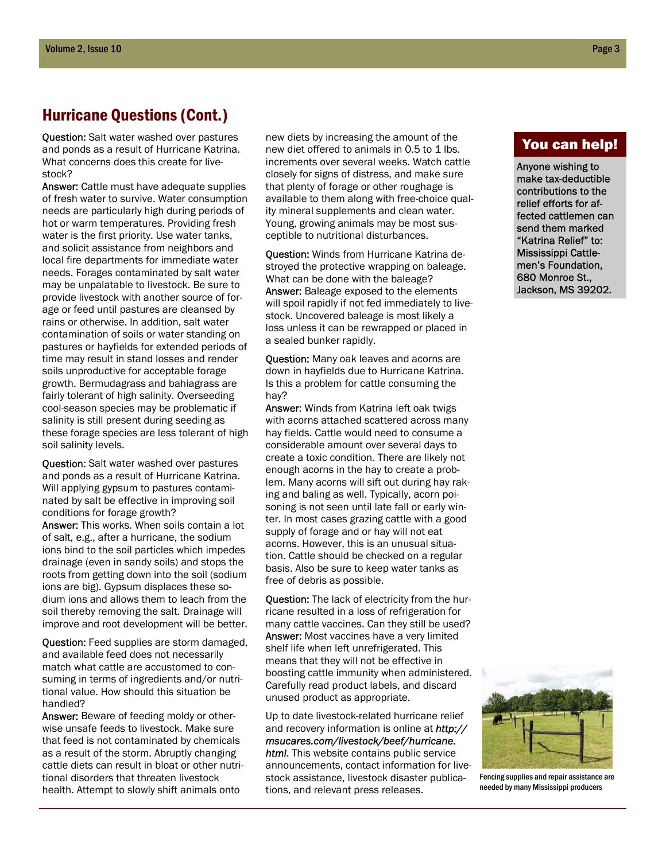## Hurricane Questions (Cont.)

Question: Salt water washed over pastures and ponds as a result of Hurricane Katrina. What concerns does this create for livestock?

Answer: Cattle must have adequate supplies of fresh water to survive. Water consumption needs are particularly high during periods of hot or warm temperatures. Providing fresh water is the first priority. Use water tanks, and solicit assistance from neighbors and local fire departments for immediate water needs. Forages contaminated by salt water may be unpalatable to livestock. Be sure to provide livestock with another source of forage or feed until pastures are cleansed by rains or otherwise. In addition, salt water contamination of soils or water standing on pastures or hayfields for extended periods of time may result in stand losses and render soils unproductive for acceptable forage growth. Bermudagrass and bahiagrass are fairly tolerant of high salinity. Overseeding cool-season species may be problematic if salinity is still present during seeding as these forage species are less tolerant of high soil salinity levels.

**Question:** Salt water washed over pastures and ponds as a result of Hurricane Katrina. Will applying gypsum to pastures contaminated by salt be effective in improving soil conditions for forage growth?

Answer: This works. When soils contain a lot of salt, e.g., after a hurricane, the sodium ions bind to the soil particles which impedes drainage (even in sandy soils) and stops the roots from getting down into the soil (sodium ions are big). Gypsum displaces these sodium ions and allows them to leach from the soil thereby removing the salt. Drainage will improve and root development will be better.

**Question:** Feed supplies are storm damaged, and available feed does not necessarily match what cattle are accustomed to consuming in terms of ingredients and/or nutritional value. How should this situation be handled?

Answer: Beware of feeding moldy or otherwise unsafe feeds to livestock. Make sure that feed is not contaminated by chemicals as a result of the storm. Abruptly changing cattle diets can result in bloat or other nutritional disorders that threaten livestock health. Attempt to slowly shift animals onto

new diets by increasing the amount of the new diet offered to animals in 0.5 to 1 lbs. increments over several weeks. Watch cattle closely for signs of distress, and make sure that plenty of forage or other roughage is available to them along with free-choice quality mineral supplements and clean water. Young, growing animals may be most susceptible to nutritional disturbances.

Question: Winds from Hurricane Katrina destroyed the protective wrapping on baleage. What can be done with the baleage? Answer: Baleage exposed to the elements will spoil rapidly if not fed immediately to livestock. Uncovered baleage is most likely a loss unless it can be rewrapped or placed in a sealed bunker rapidly.

Question: Many oak leaves and acorns are down in hayfields due to Hurricane Katrina. Is this a problem for cattle consuming the hay?

Answer: Winds from Katrina left oak twigs with acorns attached scattered across many hay fields. Cattle would need to consume a considerable amount over several days to create a toxic condition. There are likely not enough acorns in the hay to create a problem. Many acorns will sift out during hay raking and baling as well. Typically, acorn poisoning is not seen until late fall or early winter. In most cases grazing cattle with a good supply of forage and or hay will not eat acorns. However, this is an unusual situation. Cattle should be checked on a regular basis. Also be sure to keep water tanks as free of debris as possible.

**Question:** The lack of electricity from the hurricane resulted in a loss of refrigeration for many cattle vaccines. Can they still be used? Answer: Most vaccines have a very limited shelf life when left unrefrigerated. This means that they will not be effective in boosting cattle immunity when administered. Carefully read product labels, and discard unused product as appropriate.

Up to date livestock-related hurricane relief and recovery information is online at *http:// msucares.com/livestock/beef/hurricane. html*. This website contains public service announcements, contact information for livestock assistance, livestock disaster publications, and relevant press releases.

## You can help!

Anyone wishing to make tax-deductible contributions to the relief efforts for affected cattlemen can send them marked "Katrina Relief" to: Mississippi Cattlemen's Foundation, 680 Monroe St., Jackson, MS 39202.



Fencing supplies and repair assistance are needed by many Mississippi producers